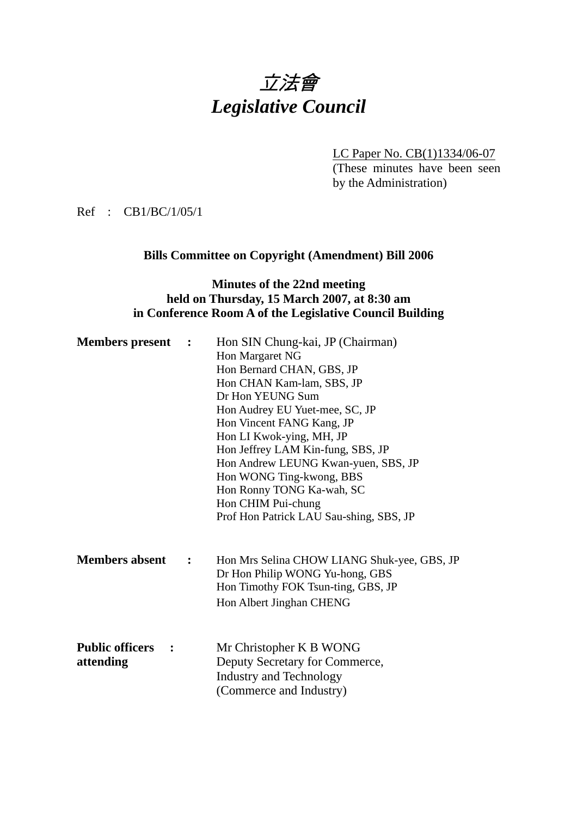# 立法會 *Legislative Council*

LC Paper No. CB(1)1334/06-07

(These minutes have been seen by the Administration)

Ref : CB1/BC/1/05/1

### **Bills Committee on Copyright (Amendment) Bill 2006**

# **Minutes of the 22nd meeting held on Thursday, 15 March 2007, at 8:30 am in Conference Room A of the Legislative Council Building**

| <b>Members</b> present                                      | $\ddot{\phantom{1}}$ | Hon SIN Chung-kai, JP (Chairman)<br>Hon Margaret NG<br>Hon Bernard CHAN, GBS, JP<br>Hon CHAN Kam-lam, SBS, JP<br>Dr Hon YEUNG Sum<br>Hon Audrey EU Yuet-mee, SC, JP<br>Hon Vincent FANG Kang, JP<br>Hon LI Kwok-ying, MH, JP<br>Hon Jeffrey LAM Kin-fung, SBS, JP<br>Hon Andrew LEUNG Kwan-yuen, SBS, JP<br>Hon WONG Ting-kwong, BBS<br>Hon Ronny TONG Ka-wah, SC<br>Hon CHIM Pui-chung |
|-------------------------------------------------------------|----------------------|-----------------------------------------------------------------------------------------------------------------------------------------------------------------------------------------------------------------------------------------------------------------------------------------------------------------------------------------------------------------------------------------|
| <b>Members absent</b>                                       | $\ddot{\cdot}$       | Prof Hon Patrick LAU Sau-shing, SBS, JP<br>Hon Mrs Selina CHOW LIANG Shuk-yee, GBS, JP<br>Dr Hon Philip WONG Yu-hong, GBS<br>Hon Timothy FOK Tsun-ting, GBS, JP<br>Hon Albert Jinghan CHENG                                                                                                                                                                                             |
| <b>Public officers</b><br>$\ddot{\phantom{1}}$<br>attending |                      | Mr Christopher K B WONG<br>Deputy Secretary for Commerce,<br><b>Industry and Technology</b><br>(Commerce and Industry)                                                                                                                                                                                                                                                                  |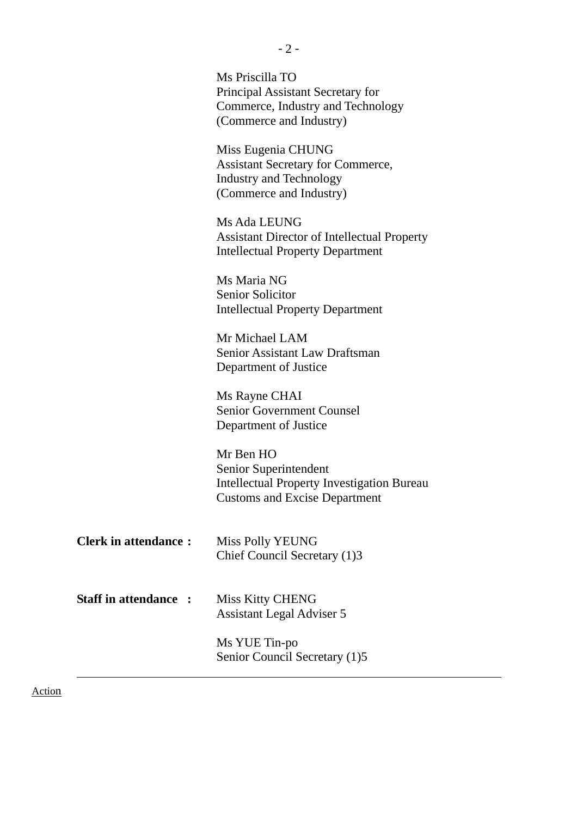|                             | Ms Priscilla TO<br>Principal Assistant Secretary for<br>Commerce, Industry and Technology<br>(Commerce and Industry)            |
|-----------------------------|---------------------------------------------------------------------------------------------------------------------------------|
|                             | Miss Eugenia CHUNG<br><b>Assistant Secretary for Commerce,</b><br><b>Industry and Technology</b><br>(Commerce and Industry)     |
|                             | Ms Ada LEUNG<br><b>Assistant Director of Intellectual Property</b><br><b>Intellectual Property Department</b>                   |
|                             | Ms Maria NG<br>Senior Solicitor<br><b>Intellectual Property Department</b>                                                      |
|                             | Mr Michael LAM<br><b>Senior Assistant Law Draftsman</b><br>Department of Justice                                                |
|                             | Ms Rayne CHAI<br><b>Senior Government Counsel</b><br>Department of Justice                                                      |
|                             | Mr Ben HO<br>Senior Superintendent<br><b>Intellectual Property Investigation Bureau</b><br><b>Customs and Excise Department</b> |
| <b>Clerk in attendance:</b> | Miss Polly YEUNG<br>Chief Council Secretary (1)3                                                                                |
| <b>Staff in attendance:</b> | <b>Miss Kitty CHENG</b><br>Assistant Legal Adviser 5                                                                            |
|                             | Ms YUE Tin-po<br>Senior Council Secretary (1)5                                                                                  |

Action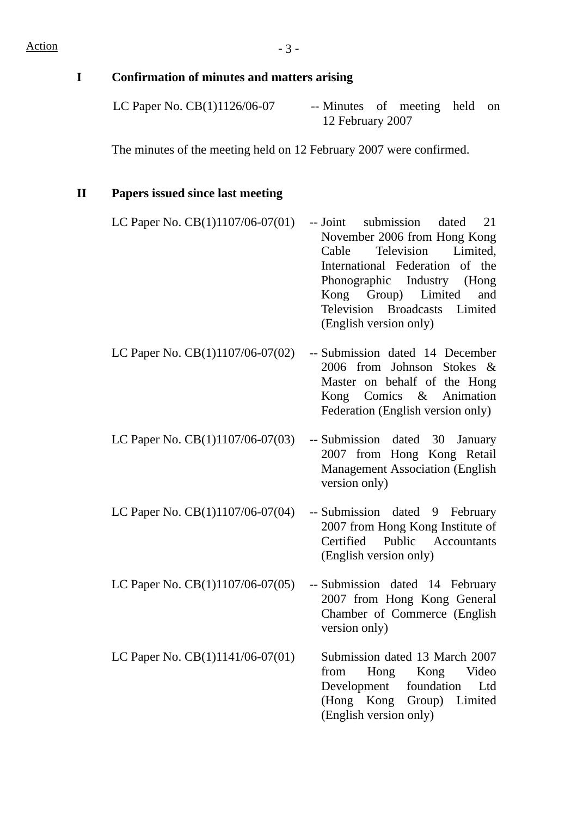| I            | Confirmation of minutes and matters arising                         |                                                                                                                                                                                                                                                                              |
|--------------|---------------------------------------------------------------------|------------------------------------------------------------------------------------------------------------------------------------------------------------------------------------------------------------------------------------------------------------------------------|
|              | LC Paper No. CB(1)1126/06-07                                        | -- Minutes of meeting<br>held<br>on<br>12 February 2007                                                                                                                                                                                                                      |
|              | The minutes of the meeting held on 12 February 2007 were confirmed. |                                                                                                                                                                                                                                                                              |
| $\mathbf{I}$ | <b>Papers issued since last meeting</b>                             |                                                                                                                                                                                                                                                                              |
|              | LC Paper No. $CB(1)1107/06-07(01)$                                  | submission<br>21<br>-- Joint<br>dated<br>November 2006 from Hong Kong<br>Cable<br>Television<br>Limited,<br>International Federation of the<br>Phonographic Industry<br>(Hong<br>Group)<br>Limited<br>Kong<br>and<br>Television Broadcasts Limited<br>(English version only) |
|              | LC Paper No. CB(1)1107/06-07(02)                                    | -- Submission dated 14 December<br>2006 from Johnson Stokes &<br>Master on behalf of the Hong<br>Kong Comics & Animation<br>Federation (English version only)                                                                                                                |
|              | LC Paper No. $CB(1)1107/06-07(03)$                                  | -- Submission dated<br>30<br>January<br>2007 from Hong Kong Retail<br><b>Management Association (English</b><br>version only)                                                                                                                                                |
|              | LC Paper No. CB(1)1107/06-07(04)                                    | -- Submission dated 9 February<br>2007 from Hong Kong Institute of<br>Certified<br>Public Accountants<br>(English version only)                                                                                                                                              |
|              | LC Paper No. CB(1)1107/06-07(05)                                    | -- Submission dated 14 February<br>2007 from Hong Kong General<br>Chamber of Commerce (English<br>version only)                                                                                                                                                              |
|              | LC Paper No. $CB(1)1141/06-07(01)$                                  | Submission dated 13 March 2007<br>Hong<br>Kong<br>Video<br>from<br>foundation<br>Development<br>Ltd<br>(Hong Kong Group) Limited<br>(English version only)                                                                                                                   |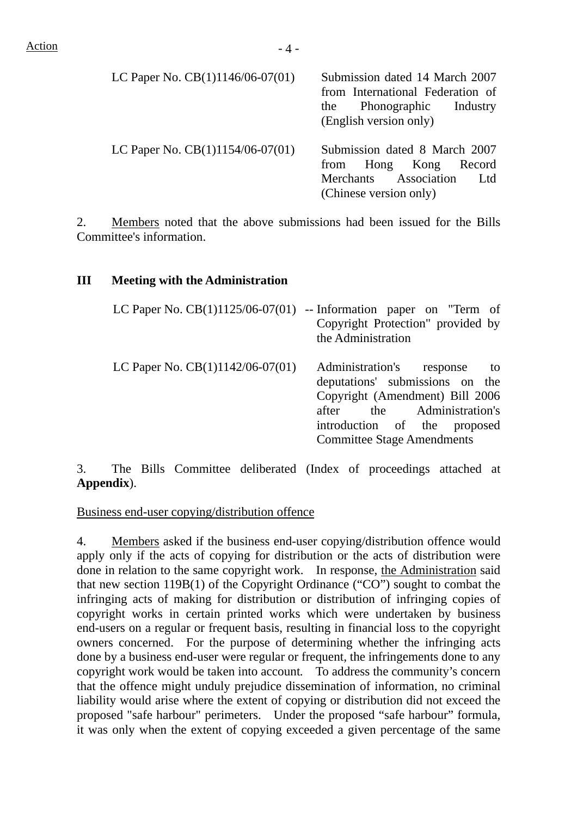| LC Paper No. $CB(1)1146/06-07(01)$ | Submission dated 14 March 2007<br>from International Federation of<br>the Phonographic Industry<br>(English version only)    |
|------------------------------------|------------------------------------------------------------------------------------------------------------------------------|
| LC Paper No. $CB(1)1154/06-07(01)$ | Submission dated 8 March 2007<br>from Hong Kong Record<br>Merchants Association<br>L <sub>td</sub><br>(Chinese version only) |

2. Members noted that the above submissions had been issued for the Bills Committee's information.

#### **III Meeting with the Administration**

|                                    | LC Paper No. $CB(1)1125/06-07(01)$ -- Information paper on "Term of<br>Copyright Protection" provided by<br>the Administration                                                                        |
|------------------------------------|-------------------------------------------------------------------------------------------------------------------------------------------------------------------------------------------------------|
| LC Paper No. $CB(1)1142/06-07(01)$ | Administration's response to<br>deputations' submissions on the<br>Copyright (Amendment) Bill 2006<br>after the Administration's<br>introduction of the proposed<br><b>Committee Stage Amendments</b> |

3. The Bills Committee deliberated (Index of proceedings attached at **Appendix**).

Business end-user copying/distribution offence

4. Members asked if the business end-user copying/distribution offence would apply only if the acts of copying for distribution or the acts of distribution were done in relation to the same copyright work. In response, the Administration said that new section 119B(1) of the Copyright Ordinance ("CO") sought to combat the infringing acts of making for distribution or distribution of infringing copies of copyright works in certain printed works which were undertaken by business end-users on a regular or frequent basis, resulting in financial loss to the copyright owners concerned. For the purpose of determining whether the infringing acts done by a business end-user were regular or frequent, the infringements done to any copyright work would be taken into account. To address the community's concern that the offence might unduly prejudice dissemination of information, no criminal liability would arise where the extent of copying or distribution did not exceed the proposed "safe harbour" perimeters. Under the proposed "safe harbour" formula, it was only when the extent of copying exceeded a given percentage of the same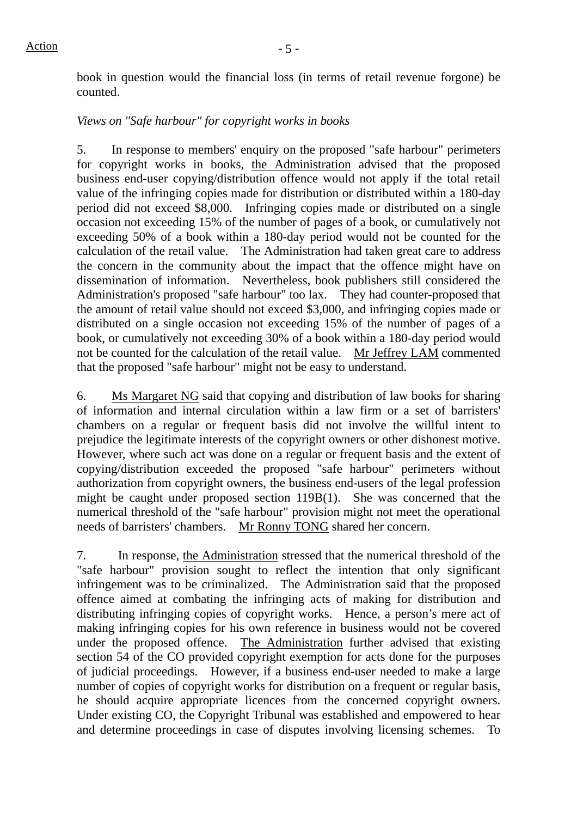book in question would the financial loss (in terms of retail revenue forgone) be counted.

### *Views on "Safe harbour" for copyright works in books*

5. In response to members' enquiry on the proposed "safe harbour" perimeters for copyright works in books, the Administration advised that the proposed business end-user copying/distribution offence would not apply if the total retail value of the infringing copies made for distribution or distributed within a 180-day period did not exceed \$8,000. Infringing copies made or distributed on a single occasion not exceeding 15% of the number of pages of a book, or cumulatively not exceeding 50% of a book within a 180-day period would not be counted for the calculation of the retail value. The Administration had taken great care to address the concern in the community about the impact that the offence might have on dissemination of information. Nevertheless, book publishers still considered the Administration's proposed "safe harbour" too lax. They had counter-proposed that the amount of retail value should not exceed \$3,000, and infringing copies made or distributed on a single occasion not exceeding 15% of the number of pages of a book, or cumulatively not exceeding 30% of a book within a 180-day period would not be counted for the calculation of the retail value. Mr Jeffrey LAM commented that the proposed "safe harbour" might not be easy to understand.

6. Ms Margaret NG said that copying and distribution of law books for sharing of information and internal circulation within a law firm or a set of barristers' chambers on a regular or frequent basis did not involve the willful intent to prejudice the legitimate interests of the copyright owners or other dishonest motive. However, where such act was done on a regular or frequent basis and the extent of copying/distribution exceeded the proposed "safe harbour" perimeters without authorization from copyright owners, the business end-users of the legal profession might be caught under proposed section 119B(1). She was concerned that the numerical threshold of the "safe harbour" provision might not meet the operational needs of barristers' chambers. Mr Ronny TONG shared her concern.

7. In response, the Administration stressed that the numerical threshold of the "safe harbour" provision sought to reflect the intention that only significant infringement was to be criminalized. The Administration said that the proposed offence aimed at combating the infringing acts of making for distribution and distributing infringing copies of copyright works. Hence, a person's mere act of making infringing copies for his own reference in business would not be covered under the proposed offence. The Administration further advised that existing section 54 of the CO provided copyright exemption for acts done for the purposes of judicial proceedings. However, if a business end-user needed to make a large number of copies of copyright works for distribution on a frequent or regular basis, he should acquire appropriate licences from the concerned copyright owners. Under existing CO, the Copyright Tribunal was established and empowered to hear and determine proceedings in case of disputes involving licensing schemes. To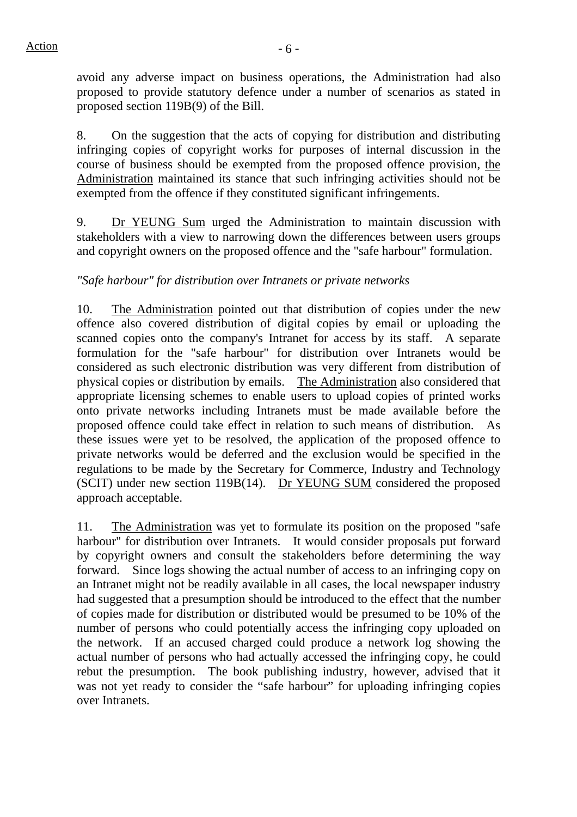avoid any adverse impact on business operations, the Administration had also proposed to provide statutory defence under a number of scenarios as stated in proposed section 119B(9) of the Bill.

8. On the suggestion that the acts of copying for distribution and distributing infringing copies of copyright works for purposes of internal discussion in the course of business should be exempted from the proposed offence provision, the Administration maintained its stance that such infringing activities should not be exempted from the offence if they constituted significant infringements.

9. Dr YEUNG Sum urged the Administration to maintain discussion with stakeholders with a view to narrowing down the differences between users groups and copyright owners on the proposed offence and the "safe harbour" formulation.

# *"Safe harbour" for distribution over Intranets or private networks*

10. The Administration pointed out that distribution of copies under the new offence also covered distribution of digital copies by email or uploading the scanned copies onto the company's Intranet for access by its staff. A separate formulation for the "safe harbour" for distribution over Intranets would be considered as such electronic distribution was very different from distribution of physical copies or distribution by emails. The Administration also considered that appropriate licensing schemes to enable users to upload copies of printed works onto private networks including Intranets must be made available before the proposed offence could take effect in relation to such means of distribution. As these issues were yet to be resolved, the application of the proposed offence to private networks would be deferred and the exclusion would be specified in the regulations to be made by the Secretary for Commerce, Industry and Technology (SCIT) under new section 119B(14). Dr YEUNG SUM considered the proposed approach acceptable.

11. The Administration was yet to formulate its position on the proposed "safe harbour" for distribution over Intranets. It would consider proposals put forward by copyright owners and consult the stakeholders before determining the way forward. Since logs showing the actual number of access to an infringing copy on an Intranet might not be readily available in all cases, the local newspaper industry had suggested that a presumption should be introduced to the effect that the number of copies made for distribution or distributed would be presumed to be 10% of the number of persons who could potentially access the infringing copy uploaded on the network. If an accused charged could produce a network log showing the actual number of persons who had actually accessed the infringing copy, he could rebut the presumption. The book publishing industry, however, advised that it was not yet ready to consider the "safe harbour" for uploading infringing copies over Intranets.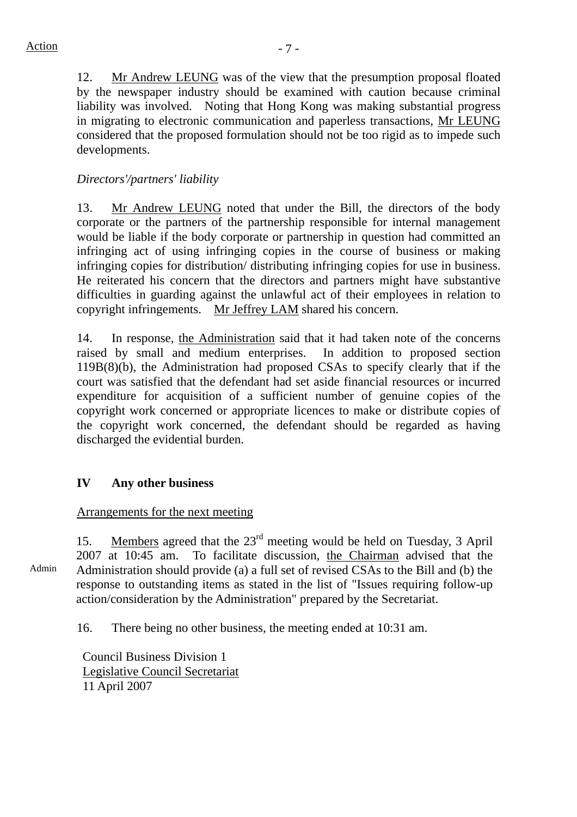12. Mr Andrew LEUNG was of the view that the presumption proposal floated by the newspaper industry should be examined with caution because criminal liability was involved. Noting that Hong Kong was making substantial progress in migrating to electronic communication and paperless transactions, Mr LEUNG considered that the proposed formulation should not be too rigid as to impede such developments.

# *Directors'/partners' liability*

13. Mr Andrew LEUNG noted that under the Bill, the directors of the body corporate or the partners of the partnership responsible for internal management would be liable if the body corporate or partnership in question had committed an infringing act of using infringing copies in the course of business or making infringing copies for distribution/ distributing infringing copies for use in business. He reiterated his concern that the directors and partners might have substantive difficulties in guarding against the unlawful act of their employees in relation to copyright infringements. Mr Jeffrey LAM shared his concern.

14. In response, the Administration said that it had taken note of the concerns raised by small and medium enterprises. In addition to proposed section 119B(8)(b), the Administration had proposed CSAs to specify clearly that if the court was satisfied that the defendant had set aside financial resources or incurred expenditure for acquisition of a sufficient number of genuine copies of the copyright work concerned or appropriate licences to make or distribute copies of the copyright work concerned, the defendant should be regarded as having discharged the evidential burden.

# **IV Any other business**

## Arrangements for the next meeting

15. Members agreed that the 23<sup>rd</sup> meeting would be held on Tuesday, 3 April 2007 at 10:45 am. To facilitate discussion, the Chairman advised that the Administration should provide (a) a full set of revised CSAs to the Bill and (b) the response to outstanding items as stated in the list of "Issues requiring follow-up action/consideration by the Administration" prepared by the Secretariat.

16. There being no other business, the meeting ended at 10:31 am.

Council Business Division 1 Legislative Council Secretariat 11 April 2007

Admin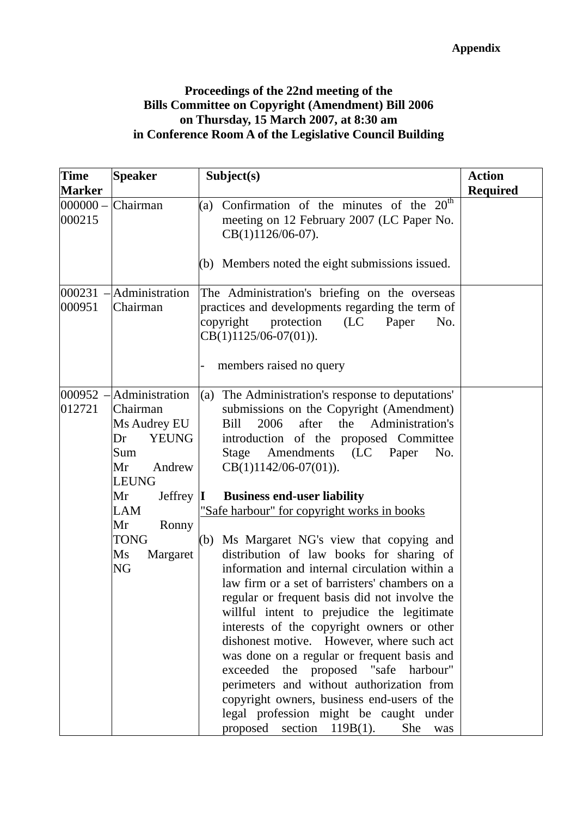### **Proceedings of the 22nd meeting of the Bills Committee on Copyright (Amendment) Bill 2006 on Thursday, 15 March 2007, at 8:30 am in Conference Room A of the Legislative Council Building**

| <b>Time</b><br><b>Marker</b> | <b>Speaker</b>                                                                                                                                                                                                                     | Subject(s)                                                                                                                                                                                                                                                                                                                                                                                                                                                                                                                                                                                                                                                                                                                                                                                                                                                                                                                                                                                                         | <b>Action</b><br><b>Required</b> |
|------------------------------|------------------------------------------------------------------------------------------------------------------------------------------------------------------------------------------------------------------------------------|--------------------------------------------------------------------------------------------------------------------------------------------------------------------------------------------------------------------------------------------------------------------------------------------------------------------------------------------------------------------------------------------------------------------------------------------------------------------------------------------------------------------------------------------------------------------------------------------------------------------------------------------------------------------------------------------------------------------------------------------------------------------------------------------------------------------------------------------------------------------------------------------------------------------------------------------------------------------------------------------------------------------|----------------------------------|
| $ 000000 -$<br>000215        | Chairman                                                                                                                                                                                                                           | Confirmation of the minutes of the $20th$<br>(a)<br>meeting on 12 February 2007 (LC Paper No.<br>CB(1)1126/06-07).<br>(b) Members noted the eight submissions issued.                                                                                                                                                                                                                                                                                                                                                                                                                                                                                                                                                                                                                                                                                                                                                                                                                                              |                                  |
| 000231<br>000951             | Administration<br>Chairman                                                                                                                                                                                                         | The Administration's briefing on the overseas<br>practices and developments regarding the term of<br>copyright<br>protection<br>(LC)<br>Paper<br>No.<br>$CB(1)1125/06-07(01)).$<br>members raised no query                                                                                                                                                                                                                                                                                                                                                                                                                                                                                                                                                                                                                                                                                                                                                                                                         |                                  |
| 012721                       | $ 000952 - A$ dministration<br>Chairman<br>Ms Audrey EU<br><b>YEUNG</b><br>Dr<br>Sum<br>Andrew<br>Mr<br><b>LEUNG</b><br>Mr<br>Jeffrey $\vert \mathbf{I} \vert$<br><b>LAM</b><br>Mr<br>Ronny<br><b>TONG</b><br>Ms<br>Margaret<br>NG | (a) The Administration's response to deputations'<br>submissions on the Copyright (Amendment)<br>Administration's<br>2006<br>after<br>the<br>Bill<br>introduction of the proposed Committee<br>Amendments (LC Paper<br>Stage<br>No.<br>$CB(1)1142/06-07(01)).$<br><b>Business end-user liability</b><br>"Safe harbour" for copyright works in books<br>(b) Ms Margaret NG's view that copying and<br>distribution of law books for sharing of<br>information and internal circulation within a<br>law firm or a set of barristers' chambers on a<br>regular or frequent basis did not involve the<br>willful intent to prejudice the legitimate<br>interests of the copyright owners or other<br>dishonest motive. However, where such act<br>was done on a regular or frequent basis and<br>exceeded the proposed "safe harbour"<br>perimeters and without authorization from<br>copyright owners, business end-users of the<br>legal profession might be caught under<br>proposed section $119B(1)$ .<br>She was |                                  |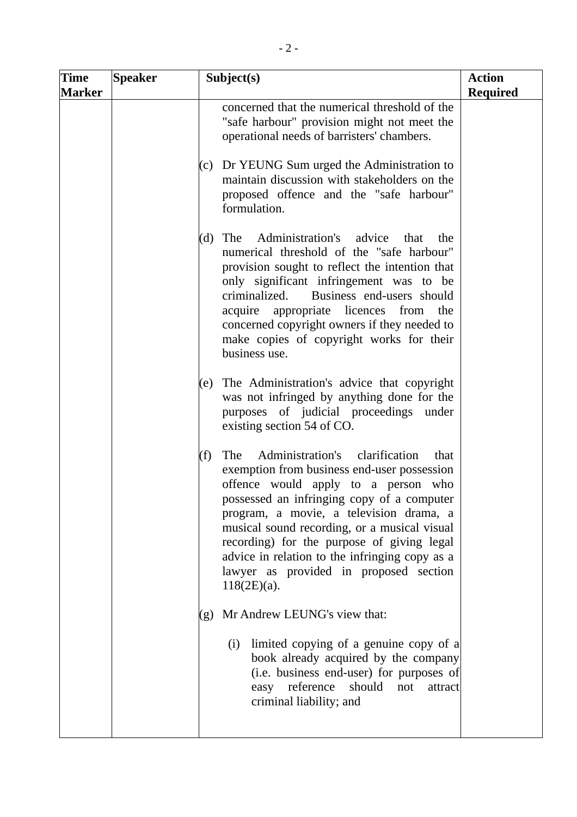| <b>Time</b><br><b>Marker</b> | <b>Speaker</b> | Subject(s)                                                                                                                                                                                                                                                                                                                                                                                                                                      | <b>Action</b><br><b>Required</b> |
|------------------------------|----------------|-------------------------------------------------------------------------------------------------------------------------------------------------------------------------------------------------------------------------------------------------------------------------------------------------------------------------------------------------------------------------------------------------------------------------------------------------|----------------------------------|
|                              |                | concerned that the numerical threshold of the<br>"safe harbour" provision might not meet the<br>operational needs of barristers' chambers.                                                                                                                                                                                                                                                                                                      |                                  |
|                              |                | (c) Dr YEUNG Sum urged the Administration to<br>maintain discussion with stakeholders on the<br>proposed offence and the "safe harbour"<br>formulation.                                                                                                                                                                                                                                                                                         |                                  |
|                              |                | Administration's advice that<br>$(d)$ The<br>the<br>numerical threshold of the "safe harbour"<br>provision sought to reflect the intention that<br>only significant infringement was to be<br>Business end-users should<br>criminalized.<br>acquire appropriate licences from<br>the<br>concerned copyright owners if they needed to<br>make copies of copyright works for their<br>business use.                                               |                                  |
|                              |                | The Administration's advice that copyright<br>(e)<br>was not infringed by anything done for the<br>purposes of judicial proceedings under<br>existing section 54 of CO.                                                                                                                                                                                                                                                                         |                                  |
|                              |                | Administration's clarification<br>The<br>(f)<br>that<br>exemption from business end-user possession<br>offence would apply to a person who<br>possessed an infringing copy of a computer<br>program, a movie, a television drama, a<br>musical sound recording, or a musical visual<br>recording) for the purpose of giving legal<br>advice in relation to the infringing copy as a<br>lawyer as provided in proposed section<br>$118(2E)(a)$ . |                                  |
|                              |                | Mr Andrew LEUNG's view that:<br>(g)<br>limited copying of a genuine copy of a<br>(i)<br>book already acquired by the company<br>(i.e. business end-user) for purposes of<br>easy reference<br>should<br>not<br>attract<br>criminal liability; and                                                                                                                                                                                               |                                  |
|                              |                |                                                                                                                                                                                                                                                                                                                                                                                                                                                 |                                  |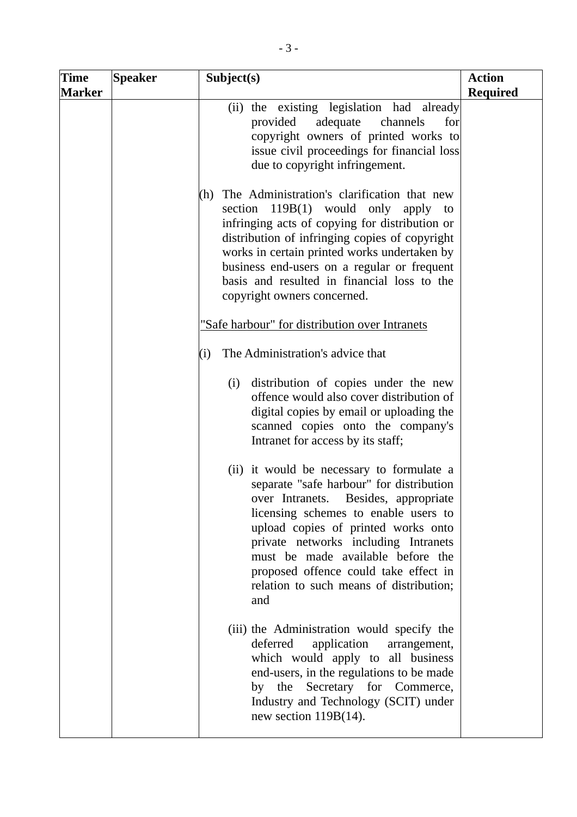| <b>Time</b><br><b>Marker</b> | <b>Speaker</b> | Subject(s)                                                                                                                                                                                                                                                                                                                                                                                                                                                                                                                                                                                                                                       | <b>Action</b><br><b>Required</b> |
|------------------------------|----------------|--------------------------------------------------------------------------------------------------------------------------------------------------------------------------------------------------------------------------------------------------------------------------------------------------------------------------------------------------------------------------------------------------------------------------------------------------------------------------------------------------------------------------------------------------------------------------------------------------------------------------------------------------|----------------------------------|
|                              |                | (ii) the existing legislation had already<br>channels<br>provided<br>adequate<br>for<br>copyright owners of printed works to<br>issue civil proceedings for financial loss<br>due to copyright infringement.                                                                                                                                                                                                                                                                                                                                                                                                                                     |                                  |
|                              |                | The Administration's clarification that new<br>(h)<br>section 119B(1) would only apply<br>to<br>infringing acts of copying for distribution or<br>distribution of infringing copies of copyright<br>works in certain printed works undertaken by<br>business end-users on a regular or frequent<br>basis and resulted in financial loss to the<br>copyright owners concerned.                                                                                                                                                                                                                                                                    |                                  |
|                              |                | "Safe harbour" for distribution over Intranets                                                                                                                                                                                                                                                                                                                                                                                                                                                                                                                                                                                                   |                                  |
|                              |                | The Administration's advice that<br>(i)<br>(i) distribution of copies under the new<br>offence would also cover distribution of<br>digital copies by email or uploading the<br>scanned copies onto the company's<br>Intranet for access by its staff;<br>(ii) it would be necessary to formulate a<br>separate "safe harbour" for distribution<br>over Intranets.<br>Besides, appropriate<br>licensing schemes to enable users to<br>upload copies of printed works onto<br>private networks including Intranets<br>must be made available before the<br>proposed offence could take effect in<br>relation to such means of distribution;<br>and |                                  |
|                              |                | (iii) the Administration would specify the<br>deferred<br>application<br>arrangement,<br>which would apply to all business<br>end-users, in the regulations to be made<br>by the Secretary for Commerce,<br>Industry and Technology (SCIT) under<br>new section $119B(14)$ .                                                                                                                                                                                                                                                                                                                                                                     |                                  |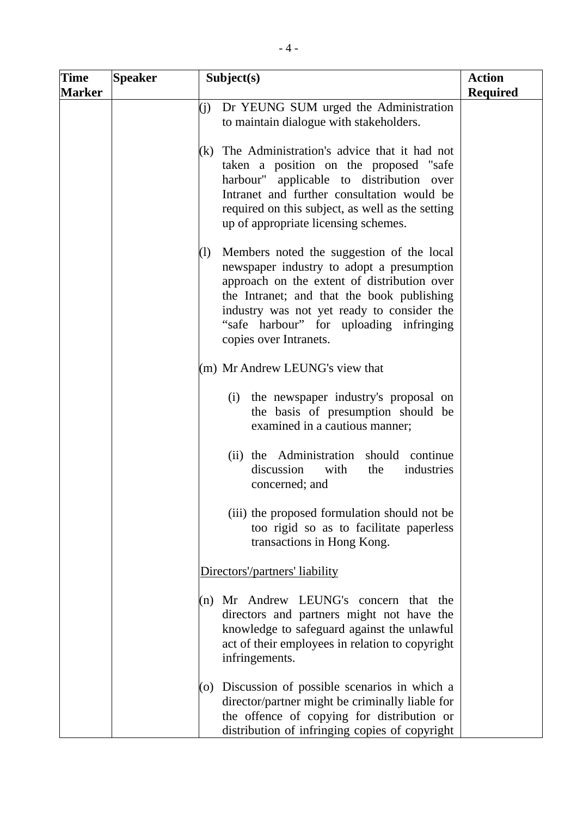| <b>Time</b>   | <b>Speaker</b> |                  | Subject(s)                                                                                                                                                                                                                                                                                             | <b>Action</b>   |
|---------------|----------------|------------------|--------------------------------------------------------------------------------------------------------------------------------------------------------------------------------------------------------------------------------------------------------------------------------------------------------|-----------------|
| <b>Marker</b> |                |                  |                                                                                                                                                                                                                                                                                                        | <b>Required</b> |
|               |                | (j)              | Dr YEUNG SUM urged the Administration                                                                                                                                                                                                                                                                  |                 |
|               |                |                  | to maintain dialogue with stakeholders.                                                                                                                                                                                                                                                                |                 |
|               |                | (k)              | The Administration's advice that it had not<br>taken a position on the proposed "safe<br>harbour" applicable to distribution over<br>Intranet and further consultation would be<br>required on this subject, as well as the setting<br>up of appropriate licensing schemes.                            |                 |
|               |                | $\left(1\right)$ | Members noted the suggestion of the local<br>newspaper industry to adopt a presumption<br>approach on the extent of distribution over<br>the Intranet; and that the book publishing<br>industry was not yet ready to consider the<br>"safe harbour" for uploading infringing<br>copies over Intranets. |                 |
|               |                |                  | $(m)$ Mr Andrew LEUNG's view that                                                                                                                                                                                                                                                                      |                 |
|               |                |                  | (i) the newspaper industry's proposal on<br>the basis of presumption should be<br>examined in a cautious manner;                                                                                                                                                                                       |                 |
|               |                |                  | (ii) the Administration should<br>continue<br>discussion<br>industries<br>with<br>the<br>concerned; and                                                                                                                                                                                                |                 |
|               |                |                  | (iii) the proposed formulation should not be<br>too rigid so as to facilitate paperless<br>transactions in Hong Kong.                                                                                                                                                                                  |                 |
|               |                |                  | Directors'/partners' liability                                                                                                                                                                                                                                                                         |                 |
|               |                | (n)              | Mr Andrew LEUNG's concern that the<br>directors and partners might not have the<br>knowledge to safeguard against the unlawful<br>act of their employees in relation to copyright<br>infringements.                                                                                                    |                 |
|               |                | (0)              | Discussion of possible scenarios in which a<br>director/partner might be criminally liable for<br>the offence of copying for distribution or<br>distribution of infringing copies of copyright                                                                                                         |                 |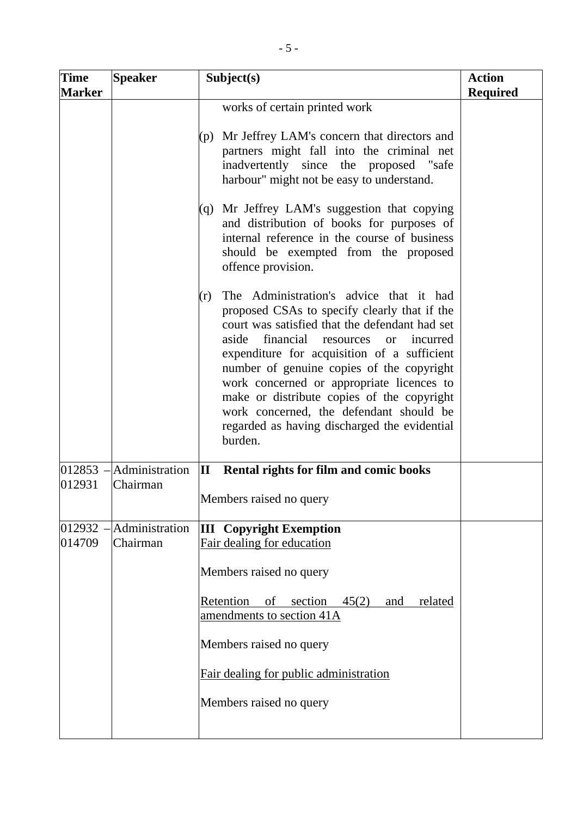| <b>Time</b><br><b>Marker</b> | <b>Speaker</b>                       | Subject(s)                                                                                                                                                                                                                                                                                                                                                                                                                                                                                   | <b>Action</b><br><b>Required</b> |
|------------------------------|--------------------------------------|----------------------------------------------------------------------------------------------------------------------------------------------------------------------------------------------------------------------------------------------------------------------------------------------------------------------------------------------------------------------------------------------------------------------------------------------------------------------------------------------|----------------------------------|
|                              |                                      | works of certain printed work                                                                                                                                                                                                                                                                                                                                                                                                                                                                |                                  |
|                              |                                      | (p) Mr Jeffrey LAM's concern that directors and<br>partners might fall into the criminal net<br>inadvertently since the proposed "safe<br>harbour" might not be easy to understand.                                                                                                                                                                                                                                                                                                          |                                  |
|                              |                                      | (q) Mr Jeffrey LAM's suggestion that copying<br>and distribution of books for purposes of<br>internal reference in the course of business<br>should be exempted from the proposed<br>offence provision.                                                                                                                                                                                                                                                                                      |                                  |
|                              |                                      | The Administration's advice that it had<br>(r)<br>proposed CSAs to specify clearly that if the<br>court was satisfied that the defendant had set<br>financial resources or<br>aside<br>incurred<br>expenditure for acquisition of a sufficient<br>number of genuine copies of the copyright<br>work concerned or appropriate licences to<br>make or distribute copies of the copyright<br>work concerned, the defendant should be<br>regarded as having discharged the evidential<br>burden. |                                  |
| 012931                       | $012853$ -Administration<br>Chairman | $\mathbf{I}$<br>Rental rights for film and comic books<br>Members raised no query                                                                                                                                                                                                                                                                                                                                                                                                            |                                  |
|                              |                                      |                                                                                                                                                                                                                                                                                                                                                                                                                                                                                              |                                  |
| 012932<br>014709             | Administration<br>Chairman           | <b>III</b> Copyright Exemption<br>Fair dealing for education                                                                                                                                                                                                                                                                                                                                                                                                                                 |                                  |
|                              |                                      | Members raised no query                                                                                                                                                                                                                                                                                                                                                                                                                                                                      |                                  |
|                              |                                      | Retention<br>of section<br>45(2)<br>related<br>and<br>amendments to section 41A                                                                                                                                                                                                                                                                                                                                                                                                              |                                  |
|                              |                                      | Members raised no query                                                                                                                                                                                                                                                                                                                                                                                                                                                                      |                                  |
|                              |                                      | Fair dealing for public administration                                                                                                                                                                                                                                                                                                                                                                                                                                                       |                                  |
|                              |                                      | Members raised no query                                                                                                                                                                                                                                                                                                                                                                                                                                                                      |                                  |
|                              |                                      |                                                                                                                                                                                                                                                                                                                                                                                                                                                                                              |                                  |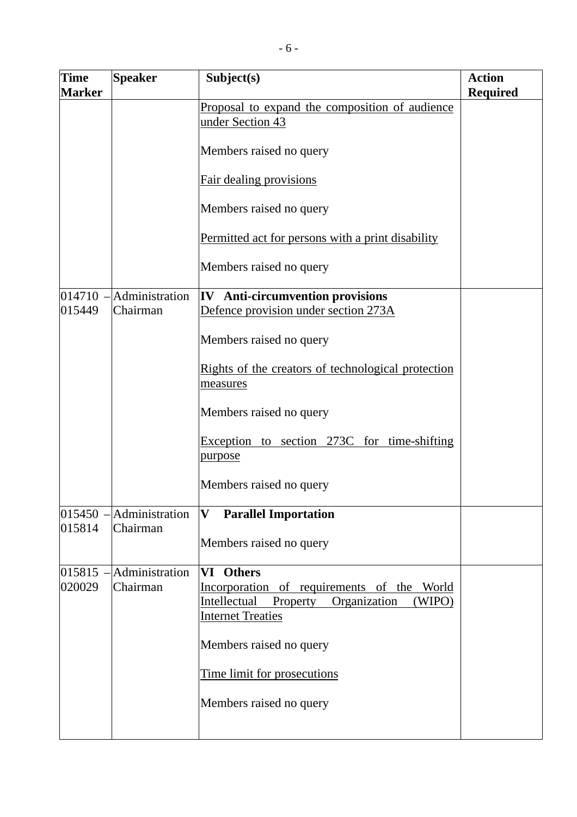| <b>Time</b><br><b>Marker</b> | <b>Speaker</b>                                | Subject(s)                                                                                                                                   | <b>Action</b><br><b>Required</b> |
|------------------------------|-----------------------------------------------|----------------------------------------------------------------------------------------------------------------------------------------------|----------------------------------|
|                              |                                               | Proposal to expand the composition of audience<br>under Section 43                                                                           |                                  |
|                              |                                               | Members raised no query                                                                                                                      |                                  |
|                              |                                               | Fair dealing provisions                                                                                                                      |                                  |
|                              |                                               | Members raised no query                                                                                                                      |                                  |
|                              |                                               | Permitted act for persons with a print disability                                                                                            |                                  |
|                              |                                               | Members raised no query                                                                                                                      |                                  |
| 014710<br>015449             | Administration<br>Chairman                    | IV Anti-circumvention provisions<br>Defence provision under section 273A                                                                     |                                  |
|                              |                                               | Members raised no query                                                                                                                      |                                  |
|                              |                                               | Rights of the creators of technological protection<br>measures                                                                               |                                  |
|                              |                                               | Members raised no query                                                                                                                      |                                  |
|                              |                                               | Exception to section 273C for time-shifting<br>purpose                                                                                       |                                  |
|                              |                                               | Members raised no query                                                                                                                      |                                  |
| 015814                       | $015450$ - $\Delta$ dministration<br>Chairman | <b>Parallel Importation</b><br>$\mathbf{V}$                                                                                                  |                                  |
|                              |                                               | Members raised no query                                                                                                                      |                                  |
| 020029                       | $015815$ -Administration<br>Chairman          | VI Others<br>Incorporation of requirements of the<br>World<br>Intellectual<br>Organization<br>(WIPO)<br>Property<br><b>Internet Treaties</b> |                                  |
|                              |                                               | Members raised no query                                                                                                                      |                                  |
|                              |                                               | Time limit for prosecutions                                                                                                                  |                                  |
|                              |                                               | Members raised no query                                                                                                                      |                                  |
|                              |                                               |                                                                                                                                              |                                  |